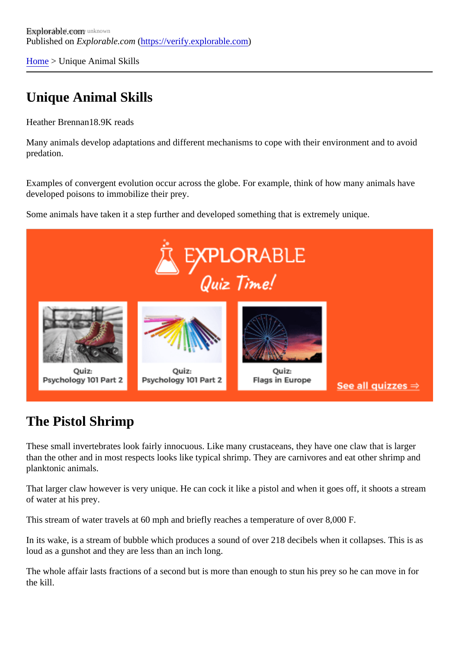[Home](https://verify.explorable.com/) > Unique Animal Skills

## Unique Animal Skills

Heather Brennan8.9K reads

Many animals develop adaptations and different mechanisms to cope with their environment and to avoid predation.

Examples of convergent evolution occur across the globe. For example, think of how many animals have developed poisons to immobilize their prey.

Some animals have taken it a step further and developed something that is extremely unique.

## The Pistol Shrimp

These small invertebrates look fairly innocuous. Like many crustaceans, they have one claw that is larger than the other and in most respects looks like typical shrimp. They are carnivores and eat other shrimp an planktonic animals.

That larger claw however is very unique. He can cock it like a pistol and when it goes off, it shoots a stream of water at his prey.

This stream of water travels at 60 mph and briefly reaches a temperature of over 8,000 F.

In its wake, is a stream of bubble which produces a sound of over 218 decibels when it collapses. This is a loud as a gunshot and they are less than an inch long.

The whole affair lasts fractions of a second but is more than enough to stun his prey so he can move in for the kill.